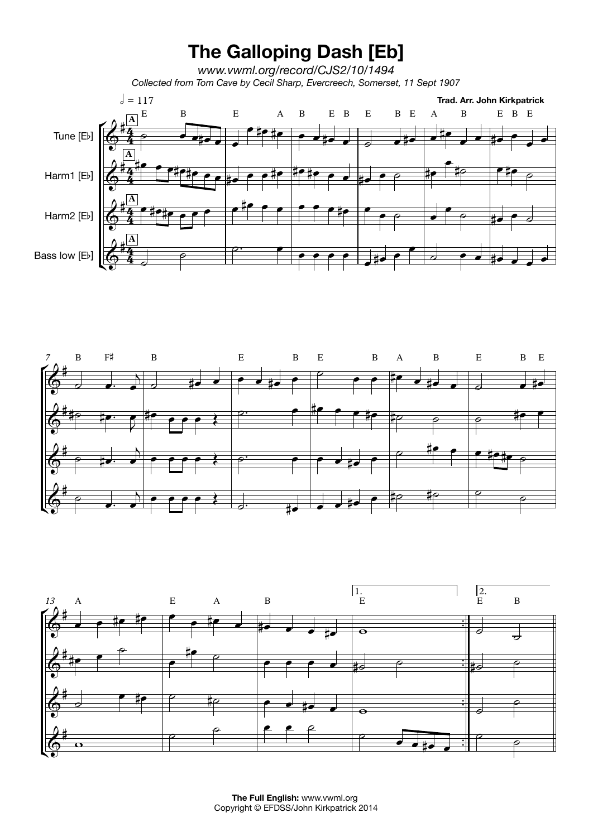## **The Galloping Dash [Eb]**

*www.vwml.org/record/CJS2/10/1494 Collected from Tom Cave by Cecil Sharp, Evercreech, Somerset, 11 Sept 1907*







**The Full English:** www.vwml.org Copyright © EFDSS/John Kirkpatrick 2014